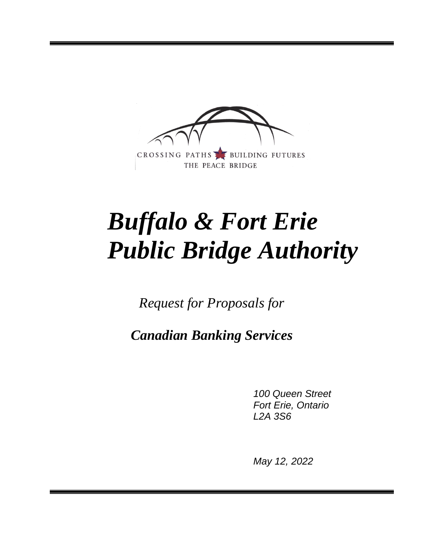

# *Buffalo & Fort Erie Public Bridge Authority*

*Request for Proposals for*

*Canadian Banking Services*

*100 Queen Street Fort Erie, Ontario L2A 3S6*

*May 12, 2022*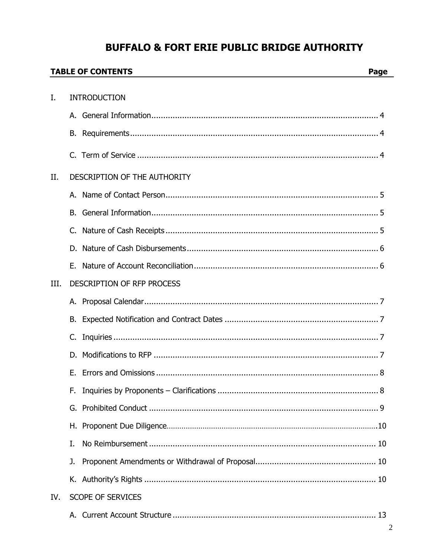## **BUFFALO & FORT ERIE PUBLIC BRIDGE AUTHORITY**

|      | <b>TABLE OF CONTENTS</b><br>Page |                                   |
|------|----------------------------------|-----------------------------------|
| Ι.   |                                  | <b>INTRODUCTION</b>               |
|      |                                  |                                   |
|      |                                  |                                   |
|      | В.                               |                                   |
|      |                                  |                                   |
| II.  |                                  | DESCRIPTION OF THE AUTHORITY      |
|      | А.                               |                                   |
|      | В.                               |                                   |
|      | C.                               |                                   |
|      | D.                               |                                   |
|      |                                  |                                   |
| III. |                                  | <b>DESCRIPTION OF RFP PROCESS</b> |
|      |                                  |                                   |
|      | В.                               |                                   |
|      | C.                               |                                   |
|      | D.                               |                                   |
|      |                                  |                                   |
|      | F.                               |                                   |
|      | G.                               |                                   |
|      | Н.                               |                                   |
|      | I.                               |                                   |
|      | J.                               |                                   |
|      |                                  |                                   |
| IV.  |                                  | <b>SCOPE OF SERVICES</b>          |
|      |                                  |                                   |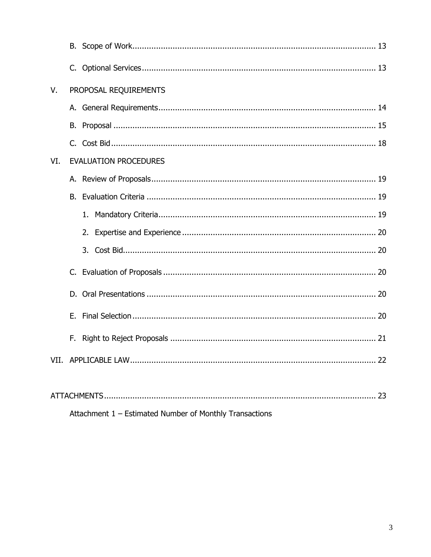| V.   |         | PROPOSAL REQUIREMENTS        |  |  |
|------|---------|------------------------------|--|--|
|      |         |                              |  |  |
|      |         |                              |  |  |
|      |         |                              |  |  |
| VI.  |         | <b>EVALUATION PROCEDURES</b> |  |  |
|      |         |                              |  |  |
|      |         |                              |  |  |
|      |         |                              |  |  |
|      |         |                              |  |  |
|      |         |                              |  |  |
|      | $C_{1}$ |                              |  |  |
|      |         |                              |  |  |
|      | Е.      |                              |  |  |
|      |         |                              |  |  |
| VII. |         |                              |  |  |
|      |         |                              |  |  |
|      |         |                              |  |  |

Attachment 1 - Estimated Number of Monthly Transactions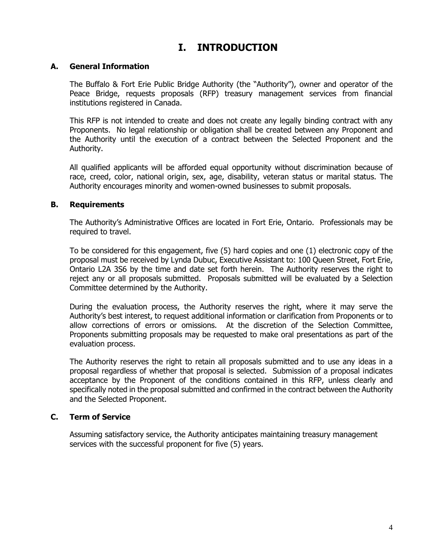## **I. INTRODUCTION**

#### **A. General Information**

The Buffalo & Fort Erie Public Bridge Authority (the "Authority"), owner and operator of the Peace Bridge, requests proposals (RFP) treasury management services from financial institutions registered in Canada.

This RFP is not intended to create and does not create any legally binding contract with any Proponents. No legal relationship or obligation shall be created between any Proponent and the Authority until the execution of a contract between the Selected Proponent and the Authority.

All qualified applicants will be afforded equal opportunity without discrimination because of race, creed, color, national origin, sex, age, disability, veteran status or marital status. The Authority encourages minority and women-owned businesses to submit proposals.

#### **B. Requirements**

The Authority's Administrative Offices are located in Fort Erie, Ontario. Professionals may be required to travel.

To be considered for this engagement, five (5) hard copies and one (1) electronic copy of the proposal must be received by Lynda Dubuc, Executive Assistant to: 100 Queen Street, Fort Erie, Ontario L2A 3S6 by the time and date set forth herein. The Authority reserves the right to reject any or all proposals submitted. Proposals submitted will be evaluated by a Selection Committee determined by the Authority.

During the evaluation process, the Authority reserves the right, where it may serve the Authority's best interest, to request additional information or clarification from Proponents or to allow corrections of errors or omissions. At the discretion of the Selection Committee, Proponents submitting proposals may be requested to make oral presentations as part of the evaluation process.

The Authority reserves the right to retain all proposals submitted and to use any ideas in a proposal regardless of whether that proposal is selected. Submission of a proposal indicates acceptance by the Proponent of the conditions contained in this RFP, unless clearly and specifically noted in the proposal submitted and confirmed in the contract between the Authority and the Selected Proponent.

#### **C. Term of Service**

Assuming satisfactory service, the Authority anticipates maintaining treasury management services with the successful proponent for five (5) years.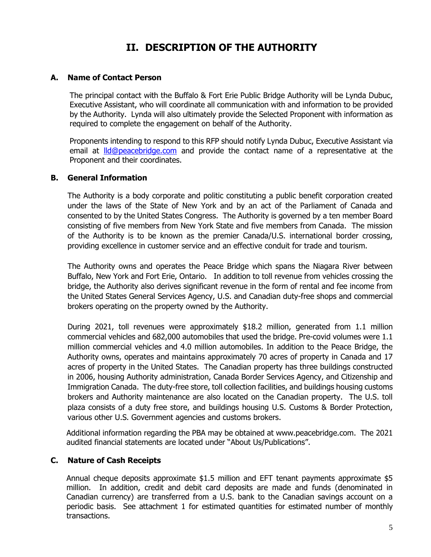## **II. DESCRIPTION OF THE AUTHORITY**

#### **A. Name of Contact Person**

The principal contact with the Buffalo & Fort Erie Public Bridge Authority will be Lynda Dubuc, Executive Assistant, who will coordinate all communication with and information to be provided by the Authority. Lynda will also ultimately provide the Selected Proponent with information as required to complete the engagement on behalf of the Authority.

Proponents intending to respond to this RFP should notify Lynda Dubuc, Executive Assistant via email at **Ild@peacebridge.com** and provide the contact name of a representative at the Proponent and their coordinates.

#### **B. General Information**

The Authority is a body corporate and politic constituting a public benefit corporation created under the laws of the State of New York and by an act of the Parliament of Canada and consented to by the United States Congress. The Authority is governed by a ten member Board consisting of five members from New York State and five members from Canada. The mission of the Authority is to be known as the premier Canada/U.S. international border crossing, providing excellence in customer service and an effective conduit for trade and tourism.

The Authority owns and operates the Peace Bridge which spans the Niagara River between Buffalo, New York and Fort Erie, Ontario. In addition to toll revenue from vehicles crossing the bridge, the Authority also derives significant revenue in the form of rental and fee income from the United States General Services Agency, U.S. and Canadian duty-free shops and commercial brokers operating on the property owned by the Authority.

During 2021, toll revenues were approximately \$18.2 million, generated from 1.1 million commercial vehicles and 682,000 automobiles that used the bridge. Pre-covid volumes were 1.1 million commercial vehicles and 4.0 million automobiles. In addition to the Peace Bridge, the Authority owns, operates and maintains approximately 70 acres of property in Canada and 17 acres of property in the United States. The Canadian property has three buildings constructed in 2006, housing Authority administration, Canada Border Services Agency, and Citizenship and Immigration Canada. The duty-free store, toll collection facilities, and buildings housing customs brokers and Authority maintenance are also located on the Canadian property. The U.S. toll plaza consists of a duty free store, and buildings housing U.S. Customs & Border Protection, various other U.S. Government agencies and customs brokers.

Additional information regarding the PBA may be obtained at www.peacebridge.com. The 2021 audited financial statements are located under "About Us/Publications".

#### **C. Nature of Cash Receipts**

Annual cheque deposits approximate \$1.5 million and EFT tenant payments approximate \$5 million. In addition, credit and debit card deposits are made and funds (denominated in Canadian currency) are transferred from a U.S. bank to the Canadian savings account on a periodic basis. See attachment 1 for estimated quantities for estimated number of monthly transactions.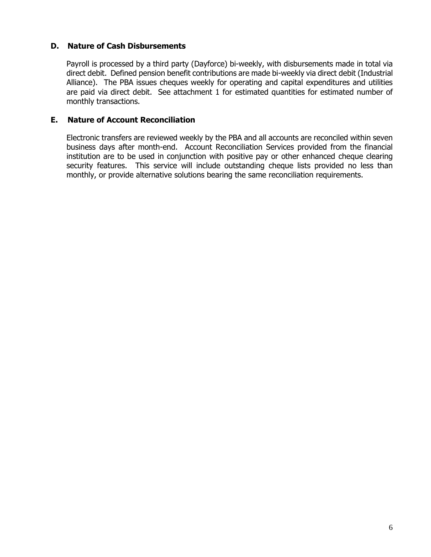#### **D. Nature of Cash Disbursements**

Payroll is processed by a third party (Dayforce) bi-weekly, with disbursements made in total via direct debit. Defined pension benefit contributions are made bi-weekly via direct debit (Industrial Alliance). The PBA issues cheques weekly for operating and capital expenditures and utilities are paid via direct debit. See attachment 1 for estimated quantities for estimated number of monthly transactions.

#### **E. Nature of Account Reconciliation**

Electronic transfers are reviewed weekly by the PBA and all accounts are reconciled within seven business days after month-end. Account Reconciliation Services provided from the financial institution are to be used in conjunction with positive pay or other enhanced cheque clearing security features. This service will include outstanding cheque lists provided no less than monthly, or provide alternative solutions bearing the same reconciliation requirements.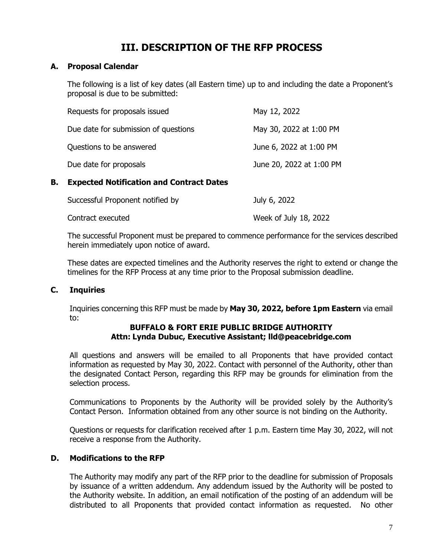## **III. DESCRIPTION OF THE RFP PROCESS**

#### **A. Proposal Calendar**

The following is a list of key dates (all Eastern time) up to and including the date a Proponent's proposal is due to be submitted:

| Requests for proposals issued        | May 12, 2022             |
|--------------------------------------|--------------------------|
| Due date for submission of questions | May 30, 2022 at 1:00 PM  |
| Questions to be answered             | June 6, 2022 at 1:00 PM  |
| Due date for proposals               | June 20, 2022 at 1:00 PM |

#### **B. Expected Notification and Contract Dates**

| Successful Proponent notified by | July 6, 2022          |
|----------------------------------|-----------------------|
| Contract executed                | Week of July 18, 2022 |

The successful Proponent must be prepared to commence performance for the services described herein immediately upon notice of award.

These dates are expected timelines and the Authority reserves the right to extend or change the timelines for the RFP Process at any time prior to the Proposal submission deadline.

#### **C. Inquiries**

Inquiries concerning this RFP must be made by **May 30, 2022, before 1pm Eastern** via email to:

#### **BUFFALO & FORT ERIE PUBLIC BRIDGE AUTHORITY Attn: Lynda Dubuc, Executive Assistant; lld@peacebridge.com**

All questions and answers will be emailed to all Proponents that have provided contact information as requested by May 30, 2022. Contact with personnel of the Authority, other than the designated Contact Person, regarding this RFP may be grounds for elimination from the selection process.

Communications to Proponents by the Authority will be provided solely by the Authority's Contact Person. Information obtained from any other source is not binding on the Authority.

Questions or requests for clarification received after 1 p.m. Eastern time May 30, 2022, will not receive a response from the Authority.

#### **D. Modifications to the RFP**

The Authority may modify any part of the RFP prior to the deadline for submission of Proposals by issuance of a written addendum. Any addendum issued by the Authority will be posted to the Authority website. In addition, an email notification of the posting of an addendum will be distributed to all Proponents that provided contact information as requested. No other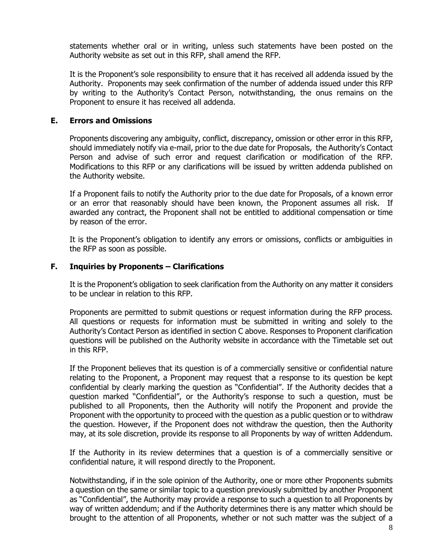statements whether oral or in writing, unless such statements have been posted on the Authority website as set out in this RFP, shall amend the RFP.

It is the Proponent's sole responsibility to ensure that it has received all addenda issued by the Authority. Proponents may seek confirmation of the number of addenda issued under this RFP by writing to the Authority's Contact Person, notwithstanding, the onus remains on the Proponent to ensure it has received all addenda.

#### **E. Errors and Omissions**

Proponents discovering any ambiguity, conflict, discrepancy, omission or other error in this RFP, should immediately notify via e-mail, prior to the due date for Proposals, the Authority's Contact Person and advise of such error and request clarification or modification of the RFP. Modifications to this RFP or any clarifications will be issued by written addenda published on the Authority website.

If a Proponent fails to notify the Authority prior to the due date for Proposals, of a known error or an error that reasonably should have been known, the Proponent assumes all risk. If awarded any contract, the Proponent shall not be entitled to additional compensation or time by reason of the error.

It is the Proponent's obligation to identify any errors or omissions, conflicts or ambiguities in the RFP as soon as possible.

#### **F. Inquiries by Proponents – Clarifications**

It is the Proponent's obligation to seek clarification from the Authority on any matter it considers to be unclear in relation to this RFP.

Proponents are permitted to submit questions or request information during the RFP process. All questions or requests for information must be submitted in writing and solely to the Authority's Contact Person as identified in section C above. Responses to Proponent clarification questions will be published on the Authority website in accordance with the Timetable set out in this RFP.

If the Proponent believes that its question is of a commercially sensitive or confidential nature relating to the Proponent, a Proponent may request that a response to its question be kept confidential by clearly marking the question as "Confidential". If the Authority decides that a question marked "Confidential", or the Authority's response to such a question, must be published to all Proponents, then the Authority will notify the Proponent and provide the Proponent with the opportunity to proceed with the question as a public question or to withdraw the question. However, if the Proponent does not withdraw the question, then the Authority may, at its sole discretion, provide its response to all Proponents by way of written Addendum.

If the Authority in its review determines that a question is of a commercially sensitive or confidential nature, it will respond directly to the Proponent.

Notwithstanding, if in the sole opinion of the Authority, one or more other Proponents submits a question on the same or similar topic to a question previously submitted by another Proponent as "Confidential", the Authority may provide a response to such a question to all Proponents by way of written addendum; and if the Authority determines there is any matter which should be brought to the attention of all Proponents, whether or not such matter was the subject of a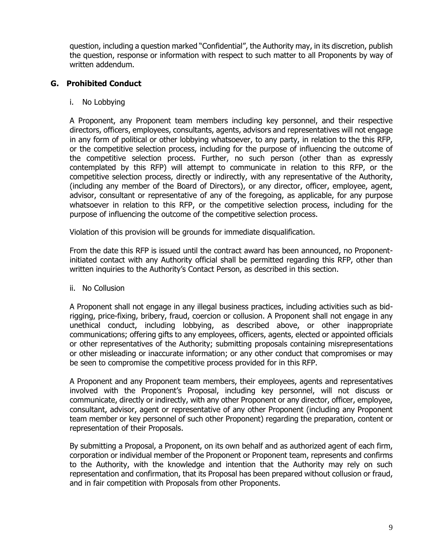question, including a question marked "Confidential", the Authority may, in its discretion, publish the question, response or information with respect to such matter to all Proponents by way of written addendum.

#### **G. Prohibited Conduct**

#### i. No Lobbying

A Proponent, any Proponent team members including key personnel, and their respective directors, officers, employees, consultants, agents, advisors and representatives will not engage in any form of political or other lobbying whatsoever, to any party, in relation to the this RFP, or the competitive selection process, including for the purpose of influencing the outcome of the competitive selection process. Further, no such person (other than as expressly contemplated by this RFP) will attempt to communicate in relation to this RFP, or the competitive selection process, directly or indirectly, with any representative of the Authority, (including any member of the Board of Directors), or any director, officer, employee, agent, advisor, consultant or representative of any of the foregoing, as applicable, for any purpose whatsoever in relation to this RFP, or the competitive selection process, including for the purpose of influencing the outcome of the competitive selection process.

Violation of this provision will be grounds for immediate disqualification.

From the date this RFP is issued until the contract award has been announced, no Proponentinitiated contact with any Authority official shall be permitted regarding this RFP, other than written inquiries to the Authority's Contact Person, as described in this section.

#### ii. No Collusion

A Proponent shall not engage in any illegal business practices, including activities such as bidrigging, price-fixing, bribery, fraud, coercion or collusion. A Proponent shall not engage in any unethical conduct, including lobbying, as described above, or other inappropriate communications; offering gifts to any employees, officers, agents, elected or appointed officials or other representatives of the Authority; submitting proposals containing misrepresentations or other misleading or inaccurate information; or any other conduct that compromises or may be seen to compromise the competitive process provided for in this RFP.

A Proponent and any Proponent team members, their employees, agents and representatives involved with the Proponent's Proposal, including key personnel, will not discuss or communicate, directly or indirectly, with any other Proponent or any director, officer, employee, consultant, advisor, agent or representative of any other Proponent (including any Proponent team member or key personnel of such other Proponent) regarding the preparation, content or representation of their Proposals.

By submitting a Proposal, a Proponent, on its own behalf and as authorized agent of each firm, corporation or individual member of the Proponent or Proponent team, represents and confirms to the Authority, with the knowledge and intention that the Authority may rely on such representation and confirmation, that its Proposal has been prepared without collusion or fraud, and in fair competition with Proposals from other Proponents.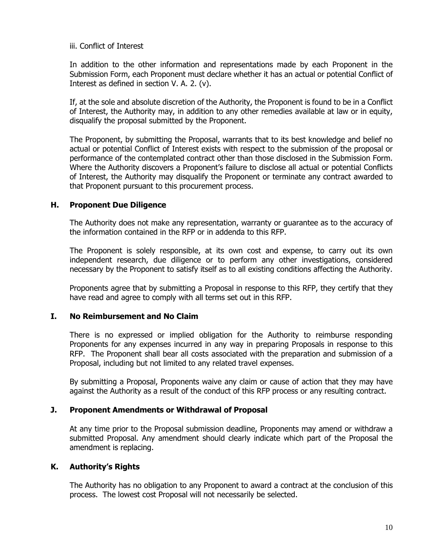iii. Conflict of Interest

In addition to the other information and representations made by each Proponent in the Submission Form, each Proponent must declare whether it has an actual or potential Conflict of Interest as defined in section V. A. 2. (v).

If, at the sole and absolute discretion of the Authority, the Proponent is found to be in a Conflict of Interest, the Authority may, in addition to any other remedies available at law or in equity, disqualify the proposal submitted by the Proponent.

The Proponent, by submitting the Proposal, warrants that to its best knowledge and belief no actual or potential Conflict of Interest exists with respect to the submission of the proposal or performance of the contemplated contract other than those disclosed in the Submission Form. Where the Authority discovers a Proponent's failure to disclose all actual or potential Conflicts of Interest, the Authority may disqualify the Proponent or terminate any contract awarded to that Proponent pursuant to this procurement process.

#### **H. Proponent Due Diligence**

The Authority does not make any representation, warranty or guarantee as to the accuracy of the information contained in the RFP or in addenda to this RFP.

The Proponent is solely responsible, at its own cost and expense, to carry out its own independent research, due diligence or to perform any other investigations, considered necessary by the Proponent to satisfy itself as to all existing conditions affecting the Authority.

Proponents agree that by submitting a Proposal in response to this RFP, they certify that they have read and agree to comply with all terms set out in this RFP.

#### **I. No Reimbursement and No Claim**

There is no expressed or implied obligation for the Authority to reimburse responding Proponents for any expenses incurred in any way in preparing Proposals in response to this RFP. The Proponent shall bear all costs associated with the preparation and submission of a Proposal, including but not limited to any related travel expenses.

By submitting a Proposal, Proponents waive any claim or cause of action that they may have against the Authority as a result of the conduct of this RFP process or any resulting contract.

#### **J. Proponent Amendments or Withdrawal of Proposal**

At any time prior to the Proposal submission deadline, Proponents may amend or withdraw a submitted Proposal. Any amendment should clearly indicate which part of the Proposal the amendment is replacing.

#### **K. Authority's Rights**

The Authority has no obligation to any Proponent to award a contract at the conclusion of this process. The lowest cost Proposal will not necessarily be selected.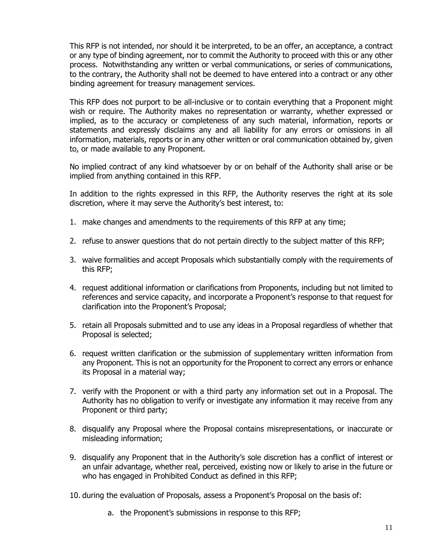This RFP is not intended, nor should it be interpreted, to be an offer, an acceptance, a contract or any type of binding agreement, nor to commit the Authority to proceed with this or any other process. Notwithstanding any written or verbal communications, or series of communications, to the contrary, the Authority shall not be deemed to have entered into a contract or any other binding agreement for treasury management services.

This RFP does not purport to be all-inclusive or to contain everything that a Proponent might wish or require. The Authority makes no representation or warranty, whether expressed or implied, as to the accuracy or completeness of any such material, information, reports or statements and expressly disclaims any and all liability for any errors or omissions in all information, materials, reports or in any other written or oral communication obtained by, given to, or made available to any Proponent.

No implied contract of any kind whatsoever by or on behalf of the Authority shall arise or be implied from anything contained in this RFP.

In addition to the rights expressed in this RFP, the Authority reserves the right at its sole discretion, where it may serve the Authority's best interest, to:

- 1. make changes and amendments to the requirements of this RFP at any time;
- 2. refuse to answer questions that do not pertain directly to the subject matter of this RFP;
- 3. waive formalities and accept Proposals which substantially comply with the requirements of this RFP;
- 4. request additional information or clarifications from Proponents, including but not limited to references and service capacity, and incorporate a Proponent's response to that request for clarification into the Proponent's Proposal;
- 5. retain all Proposals submitted and to use any ideas in a Proposal regardless of whether that Proposal is selected;
- 6. request written clarification or the submission of supplementary written information from any Proponent. This is not an opportunity for the Proponent to correct any errors or enhance its Proposal in a material way;
- 7. verify with the Proponent or with a third party any information set out in a Proposal. The Authority has no obligation to verify or investigate any information it may receive from any Proponent or third party;
- 8. disqualify any Proposal where the Proposal contains misrepresentations, or inaccurate or misleading information;
- 9. disqualify any Proponent that in the Authority's sole discretion has a conflict of interest or an unfair advantage, whether real, perceived, existing now or likely to arise in the future or who has engaged in Prohibited Conduct as defined in this RFP;
- 10. during the evaluation of Proposals, assess a Proponent's Proposal on the basis of:
	- a. the Proponent's submissions in response to this RFP;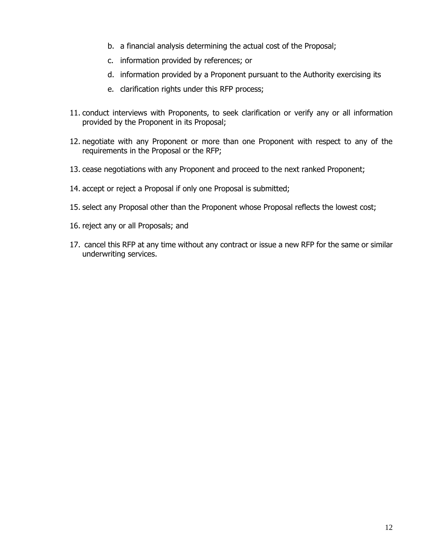- b. a financial analysis determining the actual cost of the Proposal;
- c. information provided by references; or
- d. information provided by a Proponent pursuant to the Authority exercising its
- e. clarification rights under this RFP process;
- 11. conduct interviews with Proponents, to seek clarification or verify any or all information provided by the Proponent in its Proposal;
- 12. negotiate with any Proponent or more than one Proponent with respect to any of the requirements in the Proposal or the RFP;
- 13. cease negotiations with any Proponent and proceed to the next ranked Proponent;
- 14. accept or reject a Proposal if only one Proposal is submitted;
- 15. select any Proposal other than the Proponent whose Proposal reflects the lowest cost;
- 16. reject any or all Proposals; and
- 17. cancel this RFP at any time without any contract or issue a new RFP for the same or similar underwriting services.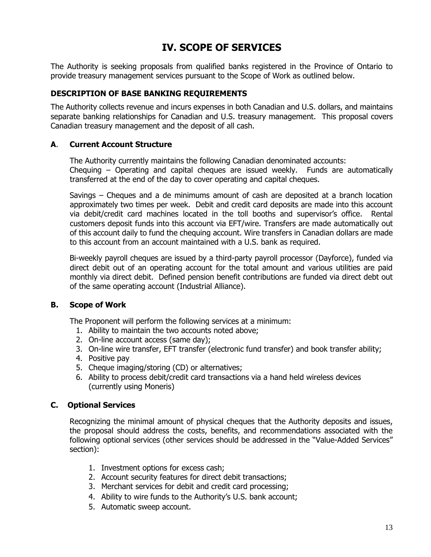## **IV. SCOPE OF SERVICES**

The Authority is seeking proposals from qualified banks registered in the Province of Ontario to provide treasury management services pursuant to the Scope of Work as outlined below.

#### **DESCRIPTION OF BASE BANKING REQUIREMENTS**

The Authority collects revenue and incurs expenses in both Canadian and U.S. dollars, and maintains separate banking relationships for Canadian and U.S. treasury management. This proposal covers Canadian treasury management and the deposit of all cash.

#### **A**. **Current Account Structure**

The Authority currently maintains the following Canadian denominated accounts: Chequing – Operating and capital cheques are issued weekly. Funds are automatically transferred at the end of the day to cover operating and capital cheques.

Savings – Cheques and a de minimums amount of cash are deposited at a branch location approximately two times per week. Debit and credit card deposits are made into this account via debit/credit card machines located in the toll booths and supervisor's office. Rental customers deposit funds into this account via EFT/wire. Transfers are made automatically out of this account daily to fund the chequing account. Wire transfers in Canadian dollars are made to this account from an account maintained with a U.S. bank as required.

Bi-weekly payroll cheques are issued by a third-party payroll processor (Dayforce), funded via direct debit out of an operating account for the total amount and various utilities are paid monthly via direct debit. Defined pension benefit contributions are funded via direct debt out of the same operating account (Industrial Alliance).

#### **B. Scope of Work**

The Proponent will perform the following services at a minimum:

- 1. Ability to maintain the two accounts noted above;
- 2. On-line account access (same day);
- 3. On-line wire transfer, EFT transfer (electronic fund transfer) and book transfer ability;
- 4. Positive pay
- 5. Cheque imaging/storing (CD) or alternatives;
- 6. Ability to process debit/credit card transactions via a hand held wireless devices (currently using Moneris)

#### **C. Optional Services**

Recognizing the minimal amount of physical cheques that the Authority deposits and issues, the proposal should address the costs, benefits, and recommendations associated with the following optional services (other services should be addressed in the "Value-Added Services" section):

- 1. Investment options for excess cash;
- 2. Account security features for direct debit transactions;
- 3. Merchant services for debit and credit card processing;
- 4. Ability to wire funds to the Authority's U.S. bank account;
- 5. Automatic sweep account.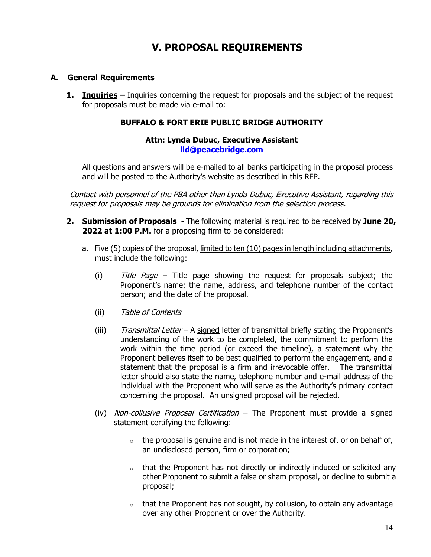## **V. PROPOSAL REQUIREMENTS**

#### **A. General Requirements**

**1. Inquiries** – Inquiries concerning the request for proposals and the subject of the request for proposals must be made via e-mail to:

#### **BUFFALO & FORT ERIE PUBLIC BRIDGE AUTHORITY**

#### **Attn: Lynda Dubuc, Executive Assistant [lld@peacebridge.com](mailto:lld@peacebridge.com)**

All questions and answers will be e-mailed to all banks participating in the proposal process and will be posted to the Authority's website as described in this RFP.

Contact with personnel of the PBA other than Lynda Dubuc, Executive Assistant, regarding this request for proposals may be grounds for elimination from the selection process.

- **2. Submission of Proposals** The following material is required to be received by **June 20, 2022 at 1:00 P.M.** for a proposing firm to be considered:
	- a. Five (5) copies of the proposal, limited to ten (10) pages in length including attachments, must include the following:
		- (i)  $\overline{t}$  Title Page Title page showing the request for proposals subject; the Proponent's name; the name, address, and telephone number of the contact person; and the date of the proposal.
		- (ii) Table of Contents
		- (iii) Transmittal Letter A signed letter of transmittal briefly stating the Proponent's understanding of the work to be completed, the commitment to perform the work within the time period (or exceed the timeline), a statement why the Proponent believes itself to be best qualified to perform the engagement, and a statement that the proposal is a firm and irrevocable offer. The transmittal letter should also state the name, telephone number and e-mail address of the individual with the Proponent who will serve as the Authority's primary contact concerning the proposal. An unsigned proposal will be rejected.
		- (iv) Non-collusive Proposal Certification The Proponent must provide a signed statement certifying the following:
			- $\circ$  the proposal is genuine and is not made in the interest of, or on behalf of, an undisclosed person, firm or corporation;
			- $\circ$  that the Proponent has not directly or indirectly induced or solicited any other Proponent to submit a false or sham proposal, or decline to submit a proposal;
			- $\circ$  that the Proponent has not sought, by collusion, to obtain any advantage over any other Proponent or over the Authority.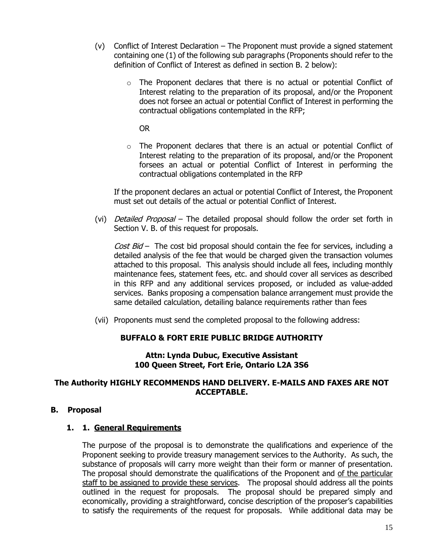- (v) Conflict of Interest Declaration The Proponent must provide a signed statement containing one (1) of the following sub paragraphs (Proponents should refer to the definition of Conflict of Interest as defined in section B. 2 below):
	- $\circ$  The Proponent declares that there is no actual or potential Conflict of Interest relating to the preparation of its proposal, and/or the Proponent does not forsee an actual or potential Conflict of Interest in performing the contractual obligations contemplated in the RFP;

OR

 $\circ$  The Proponent declares that there is an actual or potential Conflict of Interest relating to the preparation of its proposal, and/or the Proponent forsees an actual or potential Conflict of Interest in performing the contractual obligations contemplated in the RFP

If the proponent declares an actual or potential Conflict of Interest, the Proponent must set out details of the actual or potential Conflict of Interest.

(vi) *Detailed Proposal* – The detailed proposal should follow the order set forth in Section V. B. of this request for proposals.

Cost  $Bid -$  The cost bid proposal should contain the fee for services, including a detailed analysis of the fee that would be charged given the transaction volumes attached to this proposal. This analysis should include all fees, including monthly maintenance fees, statement fees, etc. and should cover all services as described in this RFP and any additional services proposed, or included as value-added services. Banks proposing a compensation balance arrangement must provide the same detailed calculation, detailing balance requirements rather than fees

(vii) Proponents must send the completed proposal to the following address:

#### **BUFFALO & FORT ERIE PUBLIC BRIDGE AUTHORITY**

#### **Attn: Lynda Dubuc, Executive Assistant 100 Queen Street, Fort Erie, Ontario L2A 3S6**

#### **The Authority HIGHLY RECOMMENDS HAND DELIVERY. E-MAILS AND FAXES ARE NOT ACCEPTABLE.**

#### **B. Proposal**

#### **1. 1. General Requirements**

The purpose of the proposal is to demonstrate the qualifications and experience of the Proponent seeking to provide treasury management services to the Authority. As such, the substance of proposals will carry more weight than their form or manner of presentation. The proposal should demonstrate the qualifications of the Proponent and of the particular staff to be assigned to provide these services. The proposal should address all the points outlined in the request for proposals. The proposal should be prepared simply and economically, providing a straightforward, concise description of the proposer's capabilities to satisfy the requirements of the request for proposals. While additional data may be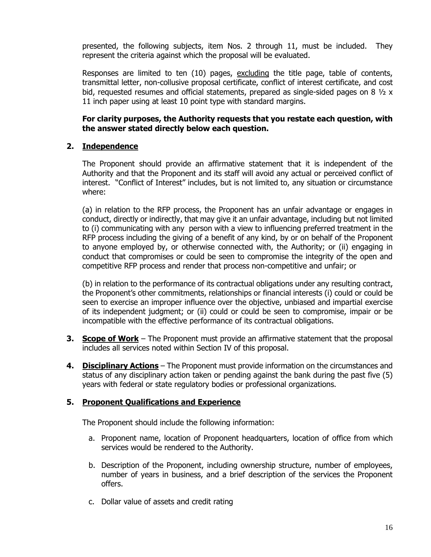presented, the following subjects, item Nos. 2 through 11, must be included. They represent the criteria against which the proposal will be evaluated.

Responses are limited to ten (10) pages, excluding the title page, table of contents, transmittal letter, non-collusive proposal certificate, conflict of interest certificate, and cost bid, requested resumes and official statements, prepared as single-sided pages on 8  $\frac{1}{2}$  x 11 inch paper using at least 10 point type with standard margins.

#### **For clarity purposes, the Authority requests that you restate each question, with the answer stated directly below each question.**

#### **2. Independence**

The Proponent should provide an affirmative statement that it is independent of the Authority and that the Proponent and its staff will avoid any actual or perceived conflict of interest. "Conflict of Interest" includes, but is not limited to, any situation or circumstance where:

(a) in relation to the RFP process, the Proponent has an unfair advantage or engages in conduct, directly or indirectly, that may give it an unfair advantage, including but not limited to (i) communicating with any person with a view to influencing preferred treatment in the RFP process including the giving of a benefit of any kind, by or on behalf of the Proponent to anyone employed by, or otherwise connected with, the Authority; or (ii) engaging in conduct that compromises or could be seen to compromise the integrity of the open and competitive RFP process and render that process non-competitive and unfair; or

(b) in relation to the performance of its contractual obligations under any resulting contract, the Proponent's other commitments, relationships or financial interests (i) could or could be seen to exercise an improper influence over the objective, unbiased and impartial exercise of its independent judgment; or (ii) could or could be seen to compromise, impair or be incompatible with the effective performance of its contractual obligations.

- **3. Scope of Work** The Proponent must provide an affirmative statement that the proposal includes all services noted within Section IV of this proposal.
- **4. Disciplinary Actions** The Proponent must provide information on the circumstances and status of any disciplinary action taken or pending against the bank during the past five (5) years with federal or state regulatory bodies or professional organizations.

#### **5. Proponent Qualifications and Experience**

The Proponent should include the following information:

- a. Proponent name, location of Proponent headquarters, location of office from which services would be rendered to the Authority.
- b. Description of the Proponent, including ownership structure, number of employees, number of years in business, and a brief description of the services the Proponent offers.
- c. Dollar value of assets and credit rating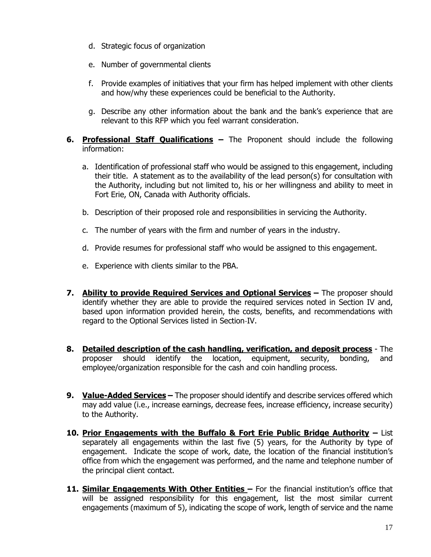- d. Strategic focus of organization
- e. Number of governmental clients
- f. Provide examples of initiatives that your firm has helped implement with other clients and how/why these experiences could be beneficial to the Authority.
- g. Describe any other information about the bank and the bank's experience that are relevant to this RFP which you feel warrant consideration.
- **6. Professional Staff Qualifications –** The Proponent should include the following information:
	- a. Identification of professional staff who would be assigned to this engagement, including their title. A statement as to the availability of the lead person(s) for consultation with the Authority, including but not limited to, his or her willingness and ability to meet in Fort Erie, ON, Canada with Authority officials.
	- b. Description of their proposed role and responsibilities in servicing the Authority.
	- c. The number of years with the firm and number of years in the industry.
	- d. Provide resumes for professional staff who would be assigned to this engagement.
	- e. Experience with clients similar to the PBA.
- **7. Ability to provide Required Services and Optional Services –** The proposer should identify whether they are able to provide the required services noted in Section IV and, based upon information provided herein, the costs, benefits, and recommendations with regard to the Optional Services listed in Section-IV.
- **8. Detailed description of the cash handling, verification, and deposit process** The proposer should identify the location, equipment, security, bonding, and employee/organization responsible for the cash and coin handling process.
- **9. Value-Added Services –** The proposer should identify and describe services offered which may add value (i.e., increase earnings, decrease fees, increase efficiency, increase security) to the Authority.
- **10. Prior Engagements with the Buffalo & Fort Erie Public Bridge Authority –** List separately all engagements within the last five (5) years, for the Authority by type of engagement. Indicate the scope of work, date, the location of the financial institution's office from which the engagement was performed, and the name and telephone number of the principal client contact.
- 11. **Similar Engagements With Other Entities** For the financial institution's office that will be assigned responsibility for this engagement, list the most similar current engagements (maximum of 5), indicating the scope of work, length of service and the name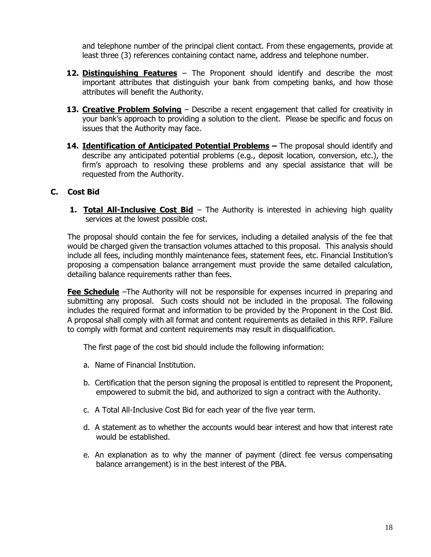and telephone number of the principal client contact. From these engagements, provide at least three (3) references containing contact name, address and telephone number.

- **12. Distinguishing Features** The Proponent should identify and describe the most important attributes that distinguish your bank from competing banks, and how those attributes will benefit the Authority.
- **13. Creative Problem Solving** Describe a recent engagement that called for creativity in your bank's approach to providing a solution to the client. Please be specific and focus on issues that the Authority may face.
- **14. Identification of Anticipated Potential Problems –** The proposal should identify and describe any anticipated potential problems (e.g., deposit location, conversion, etc.), the firm's approach to resolving these problems and any special assistance that will be requested from the Authority.

#### **C. Cost Bid**

**1. Total All-Inclusive Cost Bid** – The Authority is interested in achieving high quality services at the lowest possible cost.

The proposal should contain the fee for services, including a detailed analysis of the fee that would be charged given the transaction volumes attached to this proposal. This analysis should include all fees, including monthly maintenance fees, statement fees, etc. Financial Institution's proposing a compensation balance arrangement must provide the same detailed calculation, detailing balance requirements rather than fees.

**Fee Schedule** –The Authority will not be responsible for expenses incurred in preparing and submitting any proposal. Such costs should not be included in the proposal. The following includes the required format and information to be provided by the Proponent in the Cost Bid. A proposal shall comply with all format and content requirements as detailed in this RFP. Failure to comply with format and content requirements may result in disqualification.

The first page of the cost bid should include the following information:

- a. Name of Financial Institution.
- b. Certification that the person signing the proposal is entitled to represent the Proponent, empowered to submit the bid, and authorized to sign a contract with the Authority.
- c. A Total All-Inclusive Cost Bid for each year of the five year term.
- d. A statement as to whether the accounts would bear interest and how that interest rate would be established.
- e. An explanation as to why the manner of payment (direct fee versus compensating balance arrangement) is in the best interest of the PBA.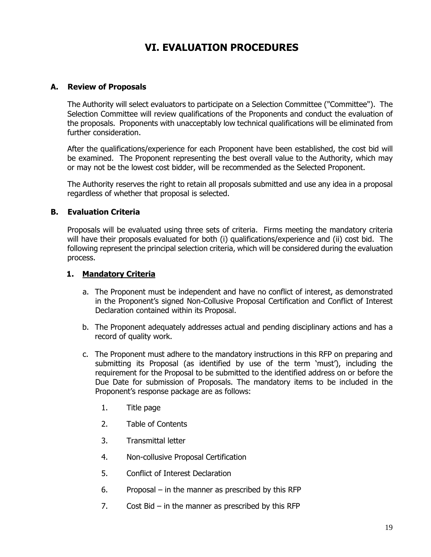## **VI. EVALUATION PROCEDURES**

#### **A. Review of Proposals**

The Authority will select evaluators to participate on a Selection Committee ("Committee"). The Selection Committee will review qualifications of the Proponents and conduct the evaluation of the proposals. Proponents with unacceptably low technical qualifications will be eliminated from further consideration.

After the qualifications/experience for each Proponent have been established, the cost bid will be examined. The Proponent representing the best overall value to the Authority, which may or may not be the lowest cost bidder, will be recommended as the Selected Proponent.

The Authority reserves the right to retain all proposals submitted and use any idea in a proposal regardless of whether that proposal is selected.

#### **B. Evaluation Criteria**

Proposals will be evaluated using three sets of criteria. Firms meeting the mandatory criteria will have their proposals evaluated for both (i) qualifications/experience and (ii) cost bid. The following represent the principal selection criteria, which will be considered during the evaluation process.

#### **1. Mandatory Criteria**

- a. The Proponent must be independent and have no conflict of interest, as demonstrated in the Proponent's signed Non-Collusive Proposal Certification and Conflict of Interest Declaration contained within its Proposal.
- b. The Proponent adequately addresses actual and pending disciplinary actions and has a record of quality work.
- c. The Proponent must adhere to the mandatory instructions in this RFP on preparing and submitting its Proposal (as identified by use of the term 'must'), including the requirement for the Proposal to be submitted to the identified address on or before the Due Date for submission of Proposals. The mandatory items to be included in the Proponent's response package are as follows:
	- 1. Title page
	- 2. Table of Contents
	- 3. Transmittal letter
	- 4. Non-collusive Proposal Certification
	- 5. Conflict of Interest Declaration
	- 6. Proposal in the manner as prescribed by this RFP
	- 7. Cost Bid in the manner as prescribed by this RFP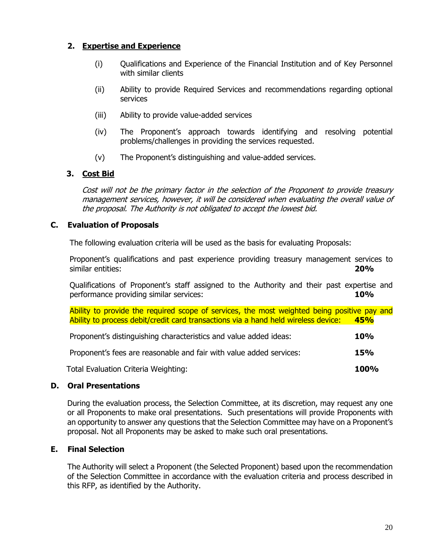#### **2. Expertise and Experience**

- (i) Qualifications and Experience of the Financial Institution and of Key Personnel with similar clients
- (ii) Ability to provide Required Services and recommendations regarding optional services
- (iii) Ability to provide value-added services
- (iv) The Proponent's approach towards identifying and resolving potential problems/challenges in providing the services requested.
- (v) The Proponent's distinguishing and value-added services.

#### **3. Cost Bid**

Cost will not be the primary factor in the selection of the Proponent to provide treasury management services, however, it will be considered when evaluating the overall value of the proposal. The Authority is not obligated to accept the lowest bid.

#### **C. Evaluation of Proposals**

The following evaluation criteria will be used as the basis for evaluating Proposals:

Proponent's qualifications and past experience providing treasury management services to similar entities: **20%** 

Qualifications of Proponent's staff assigned to the Authority and their past expertise and performance providing similar services: **10%** 

Ability to provide the required scope of services, the most weighted being positive pay and Ability to process debit/credit card transactions via a hand held wireless device: **45%**

| Proponent's distinguishing characteristics and value added ideas:   | <b>10%</b> |
|---------------------------------------------------------------------|------------|
| Proponent's fees are reasonable and fair with value added services: | <b>15%</b> |

Total Evaluation Criteria Weighting: **100%** 

#### **D. Oral Presentations**

During the evaluation process, the Selection Committee, at its discretion, may request any one or all Proponents to make oral presentations. Such presentations will provide Proponents with an opportunity to answer any questions that the Selection Committee may have on a Proponent's proposal. Not all Proponents may be asked to make such oral presentations.

#### **E. Final Selection**

The Authority will select a Proponent (the Selected Proponent) based upon the recommendation of the Selection Committee in accordance with the evaluation criteria and process described in this RFP, as identified by the Authority.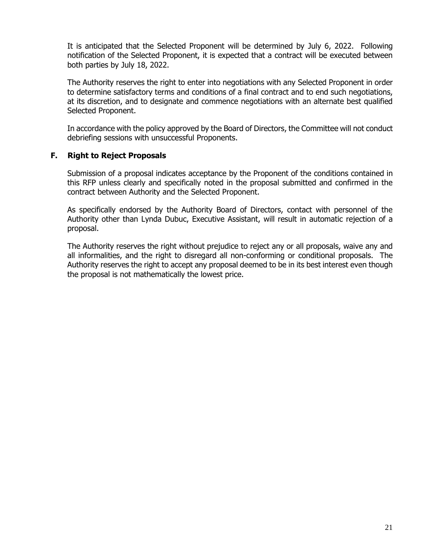It is anticipated that the Selected Proponent will be determined by July 6, 2022. Following notification of the Selected Proponent, it is expected that a contract will be executed between both parties by July 18, 2022.

The Authority reserves the right to enter into negotiations with any Selected Proponent in order to determine satisfactory terms and conditions of a final contract and to end such negotiations, at its discretion, and to designate and commence negotiations with an alternate best qualified Selected Proponent.

In accordance with the policy approved by the Board of Directors, the Committee will not conduct debriefing sessions with unsuccessful Proponents.

#### **F. Right to Reject Proposals**

Submission of a proposal indicates acceptance by the Proponent of the conditions contained in this RFP unless clearly and specifically noted in the proposal submitted and confirmed in the contract between Authority and the Selected Proponent.

As specifically endorsed by the Authority Board of Directors, contact with personnel of the Authority other than Lynda Dubuc, Executive Assistant, will result in automatic rejection of a proposal.

The Authority reserves the right without prejudice to reject any or all proposals, waive any and all informalities, and the right to disregard all non-conforming or conditional proposals. The Authority reserves the right to accept any proposal deemed to be in its best interest even though the proposal is not mathematically the lowest price.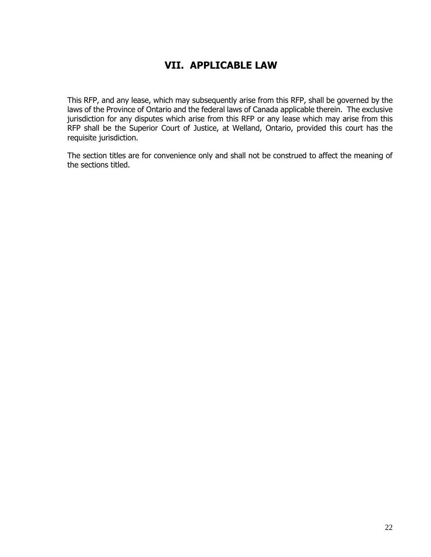## **VII. APPLICABLE LAW**

This RFP, and any lease, which may subsequently arise from this RFP, shall be governed by the laws of the Province of Ontario and the federal laws of Canada applicable therein. The exclusive jurisdiction for any disputes which arise from this RFP or any lease which may arise from this RFP shall be the Superior Court of Justice, at Welland, Ontario, provided this court has the requisite jurisdiction.

The section titles are for convenience only and shall not be construed to affect the meaning of the sections titled.